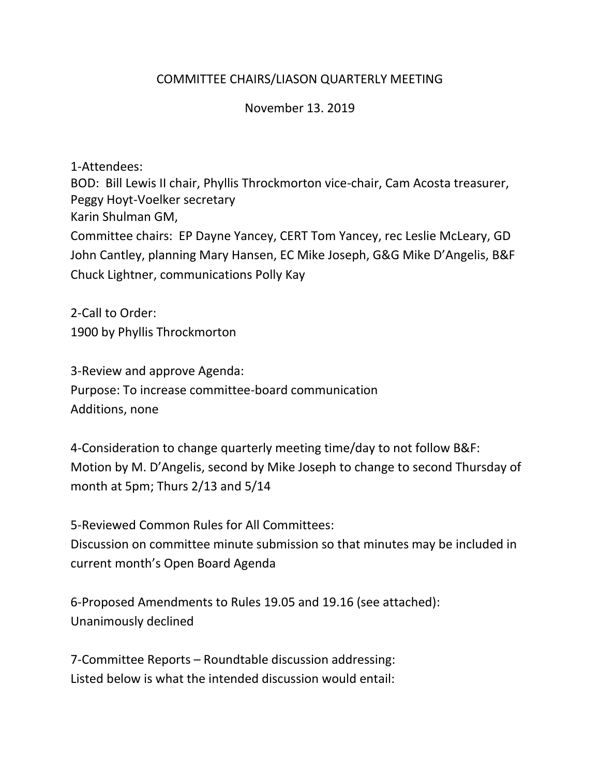## COMMITTEE CHAIRS/LIASON QUARTERLY MEETING

November 13. 2019

1-Attendees:

BOD: Bill Lewis II chair, Phyllis Throckmorton vice-chair, Cam Acosta treasurer, Peggy Hoyt-Voelker secretary Karin Shulman GM, Committee chairs: EP Dayne Yancey, CERT Tom Yancey, rec Leslie McLeary, GD John Cantley, planning Mary Hansen, EC Mike Joseph, G&G Mike D'Angelis, B&F Chuck Lightner, communications Polly Kay

2-Call to Order: 1900 by Phyllis Throckmorton

3-Review and approve Agenda: Purpose: To increase committee-board communication Additions, none

4-Consideration to change quarterly meeting time/day to not follow B&F: Motion by M. D'Angelis, second by Mike Joseph to change to second Thursday of month at 5pm; Thurs 2/13 and 5/14

5-Reviewed Common Rules for All Committees: Discussion on committee minute submission so that minutes may be included in current month's Open Board Agenda

6-Proposed Amendments to Rules 19.05 and 19.16 (see attached): Unanimously declined

7-Committee Reports – Roundtable discussion addressing: Listed below is what the intended discussion would entail: